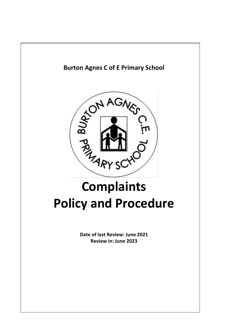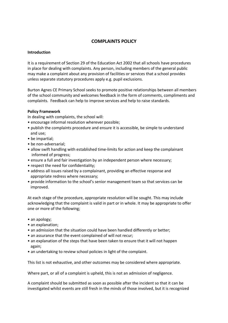# **COMPLAINTS POLICY**

#### **Introduction**

It is a requirement of Section 29 of the Education Act 2002 that all schools have procedures in place for dealing with complaints. Any person, including members of the general public may make a complaint about any provision of facilities or services that a school provides unless separate statutory procedures apply e.g. pupil exclusions.

Burton Agnes CE Primary School seeks to promote positive relationships between all members of the school community and welcomes feedback in the form of comments, compliments and complaints. Feedback can help to improve services and help to raise standards.

#### **Policy Framework**

In dealing with complaints, the school will:

- encourage informal resolution wherever possible;
- publish the complaints procedure and ensure it is accessible, be simple to understand and use;
- be impartial;
- be non-adversarial;
- allow swift handling with established time-limits for action and keep the complainant informed of progress;
- ensure a full and fair investigation by an independent person where necessary;
- respect the need for confidentiality;
- address all issues raised by a complainant, providing an effective response and appropriate redress where necessary;
- provide information to the school's senior management team so that services can be improved.

At each stage of the procedure, appropriate resolution will be sought. This may include acknowledging that the complaint is valid in part or in whole. It may be appropriate to offer one or more of the following;

- an apology;
- an explanation:
- an admission that the situation could have been handled differently or better;
- an assurance that the event complained of will not recur;
- an explanation of the steps that have been taken to ensure that it will not happen again;
- an undertaking to review school policies in light of the complaint.

This list is not exhaustive, and other outcomes may be considered where appropriate.

Where part, or all of a complaint is upheld, this is not an admission of negligence.

A complaint should be submitted as soon as possible after the incident so that it can be investigated whilst events are still fresh in the minds of those involved, but it is recognized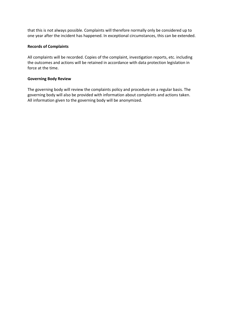that this is not always possible. Complaints will therefore normally only be considered up to one year after the incident has happened. In exceptional circumstances, this can be extended.

# **Records of Complaints**

All complaints will be recorded. Copies of the complaint, investigation reports, etc. including the outcomes and actions will be retained in accordance with data protection legislation in force at the time.

# **Governing Body Review**

The governing body will review the complaints policy and procedure on a regular basis. The governing body will also be provided with information about complaints and actions taken. All information given to the governing body will be anonymized.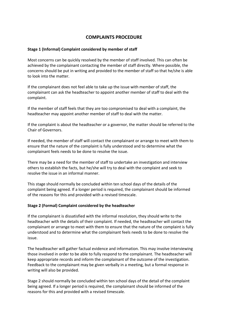# **COMPLAINTS PROCEDURE**

#### **Stage 1 (Informal) Complaint considered by member of staff**

Most concerns can be quickly resolved by the member of staff involved. This can often be achieved by the complainant contacting the member of staff directly. Where possible, the concerns should be put in writing and provided to the member of staff so that he/she is able to look into the matter.

If the complainant does not feel able to take up the issue with member of staff, the complainant can ask the headteacher to appoint another member of staff to deal with the complaint.

If the member of staff feels that they are too compromised to deal with a complaint, the headteacher may appoint another member of staff to deal with the matter.

If the complaint is about the headteacher or a governor, the matter should be referred to the Chair of Governors.

If needed, the member of staff will contact the complainant or arrange to meet with them to ensure that the nature of the complaint is fully understood and to determine what the complainant feels needs to be done to resolve the issue.

There may be a need for the member of staff to undertake an investigation and interview others to establish the facts, but he/she will try to deal with the complaint and seek to resolve the issue in an informal manner.

This stage should normally be concluded within ten school days of the details of the complaint being agreed. If a longer period is required, the complainant should be informed of the reasons for this and provided with a revised timescale.

#### **Stage 2 (Formal) Complaint considered by the headteacher**

If the complainant is dissatisfied with the informal resolution, they should write to the headteacher with the details of their complaint. If needed, the headteacher will contact the complainant or arrange to meet with them to ensure that the nature of the complaint is fully understood and to determine what the complainant feels needs to be done to resolve the issue.

The headteacher will gather factual evidence and information. This may involve interviewing those involved in order to be able to fully respond to the complainant. The headteacher will keep appropriate records and inform the complainant of the outcome of the investigation. Feedback to the complainant may be given verbally in a meeting, but a formal response in writing will also be provided.

Stage 2 should normally be concluded within ten school days of the detail of the complaint being agreed. If a longer period is required, the complainant should be informed of the reasons for this and provided with a revised timescale.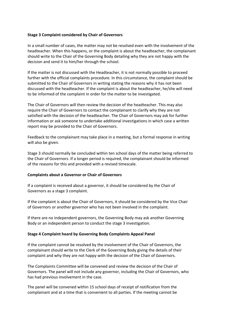#### **Stage 3 Complaint considered by Chair of Governors**

In a small number of cases, the matter may not be resolved even with the involvement of the headteacher. When this happens, or the complaint is about the headteacher, the complainant should write to the Chair of the Governing Body detailing why they are not happy with the decision and send it to him/her through the school.

If the matter is not discussed with the Headteacher, it is not normally possible to proceed further with the official complaints procedure. In this circumstance, the complaint should be submitted to the Chair of Governors in writing stating the reasons why it has not been discussed with the headteacher. If the complaint is about the headteacher, he/she will need to be informed of the complaint in order for the matter to be investigated.

The Chair of Governors will then review the decision of the headteacher. This may also require the Chair of Governors to contact the complainant to clarify why they are not satisfied with the decision of the headteacher. The Chair of Governors may ask for further information or ask someone to undertake additional investigations in which case a written report may be provided to the Chair of Governors.

Feedback to the complainant may take place in a meeting, but a formal response in writing will also be given.

Stage 3 should normally be concluded within ten school days of the matter being referred to the Chair of Governors. If a longer period is required, the complainant should be informed of the reasons for this and provided with a revised timescale.

#### **Complaints about a Governor or Chair of Governors**

If a complaint is received about a governor, it should be considered by the Chair of Governors as a stage 3 complaint.

If the complaint is about the Chair of Governors, it should be considered by the Vice Chair of Governors or another governor who has not been involved in the complaint.

If there are no independent governors, the Governing Body may ask another Governing Body or an independent person to conduct the stage 3 investigation.

#### **Stage 4 Complaint heard by Governing Body Complaints Appeal Panel**

If the complaint cannot be resolved by the involvement of the Chair of Governors, the complainant should write to the Clerk of the Governing Body giving the details of their complaint and why they are not happy with the decision of the Chair of Governors.

The Complaints Committee will be convened and review the decision of the Chair of Governors. The panel will not include any governor, including the Chair of Governors, who has had previous involvement in the case.

The panel will be convened within 15 school days of receipt of notification from the complainant and at a time that is convenient to all parties. If the meeting cannot be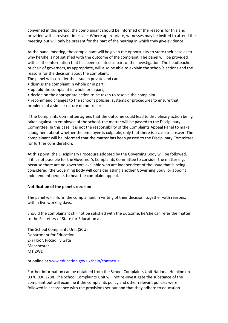convened in this period, the complainant should be informed of the reasons for this and provided with a revised timescale. Where appropriate, witnesses may be invited to attend the meeting but will only be present for the part of the hearing in which they give evidence.

At the panel meeting, the complainant will be given the opportunity to state their case as to why he/she is not satisfied with the outcome of the complaint. The panel will be provided with all the information that has been collated as part of the investigation. The headteacher or chair of governors, as appropriate, will also be able to explain the school's actions and the reasons for the decision about the complaint.

The panel will consider the issue in private and can:

- dismiss the complaint in whole or in part;
- uphold the complaint in whole or in part;
- decide on the appropriate action to be taken to resolve the complaint;

• recommend changes to the school's policies, systems or procedures to ensure that problems of a similar nature do not recur.

If the Complaints Committee agrees that the outcome could lead to disciplinary action being taken against an employee of the school, the matter will be passed to the Disciplinary Committee. In this case, it is not the responsibility of the Complaints Appeal Panel to make a judgment about whether the employee is culpable, only that there is a case to answer. The complainant will be informed that the matter has been passed to the Disciplinary Committee for further consideration.

At this point, the Disciplinary Procedure adopted by the Governing Body will be followed. If it is not possible for the Governor's Complaints Committee to consider the matter e.g. because there are no governors available who are independent of the issue that is being considered, the Governing Body will consider asking another Governing Body, or appoint independent people, to hear the complaint appeal.

#### **Notification of the panel's decision**

The panel will inform the complainant in writing of their decision, together with reasons, within five working days.

Should the complainant still not be satisfied with the outcome, he/she can refer the matter to the Secretary of State for Education at

The School Complaints Unit (SCU) Department for Education 2nd Floor, Piccadilly Gate Manchester M1 2WD

or online at www.education.gov.uk/help/contactus

Further information can be obtained from the School Complaints Unit National Helpline on 0370 000 2288. The School Complaints Unit will not re-investigate the substance of the complaint but will examine if the complaints policy and other relevant policies were followed in accordance with the provisions set out and that they adhere to education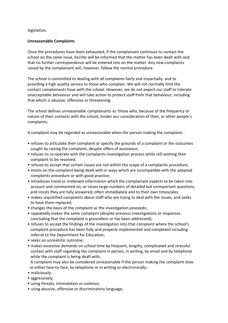# legislation.

# **Unreasonable Complaints**

Once the procedures have been exhausted, if the complainant continues to contact the school on the same issue, he/she will be informed that the matter has been dealt with and that no further correspondence will be entered into on the matter. Any new complaints raised by the complainant will, however, follow the normal procedure.

The school is committed to dealing with all complaints fairly and impartially, and to providing a high quality service to those who complain. We will not normally limit the contact complainants have with the school. However, we do not expect our staff to tolerate unacceptable behaviour and will take action to protect staff from that behaviour, including that which is abusive, offensive or threatening.

The school defines unreasonable complainants as 'those who, because of the frequency or nature of their contacts with the school, hinder our consideration of their, or other people's complaints.

A complaint may be regarded as unreasonable when the person making the complaint:-

- refuses to articulate their complaint or specify the grounds of a complaint or the outcomes sought by raising the complaint, despite offers of assistance;
- refuses to co-operate with the complaints investigation process while still wishing their complaint to be resolved;
- refuses to accept that certain issues are not within the scope of a complaints procedure;
- insists on the complaint being dealt with in ways which are incompatible with the adopted complaints procedure or with good practice;
- introduces trivial or irrelevant information which the complainant expects to be taken into account and commented on, or raises large numbers of detailed but unimportant questions, and insists they are fully answered, often immediately and to their own timescales;
- makes unjustified complaints about staff who are trying to deal with the issues, and seeks to have them replaced;
- changes the basis of the complaint as the investigation proceeds;
- repeatedly makes the same complaint (despite previous investigations or responses concluding that the complaint is groundless or has been addressed);
- refuses to accept the findings of the investigation into that complaint where the school's complaint procedure has been fully and properly implemented and completed including referral to the Department for Education;
- seeks an unrealistic outcome;
- makes excessive demands on school time by frequent, lengthy, complicated and stressful contact with staff regarding the complaint in person, in writing, by email and by telephone while the complaint is being dealt with.

 A complaint may also be considered unreasonable if the person making the complaint does so either face-to-face, by telephone or in writing or electronically:-

- maliciously;
- aggressively;
- using threats, intimidation or violence;
- using abusive, offensive or discriminatory language;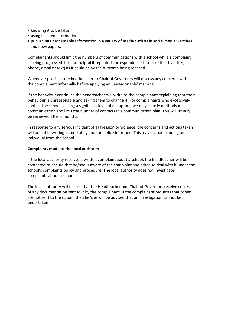- knowing it to be false;
- using falsified information;
- publishing unacceptable information in a variety of media such as in social media websites and newspapers.

Complainants should limit the numbers of communications with a school while a complaint is being progressed. It is not helpful if repeated correspondence is sent (either by letter, phone, email or text) as it could delay the outcome being reached.

Whenever possible, the headteacher or Chair of Governors will discuss any concerns with the complainant informally before applying an 'unreasonable' marking.

If the behaviour continues the headteacher will write to the complainant explaining that their behaviour is unreasonable and asking them to change it. For complainants who excessively contact the school causing a significant level of disruption, we may specify methods of communication and limit the number of contacts in a communication plan. This will usually be reviewed after 6 months.

In response to any serious incident of aggression or violence, the concerns and actions taken will be put in writing immediately and the police informed. This may include banning an individual from the school

## **Complaints made to the local authority**

If the local authority receives a written complaint about a school, the headteacher will be contacted to ensure that he/she is aware of the complaint and asked to deal with it under the school's complaints policy and procedure. The local authority does not investigate complaints about a school.

The local authority will ensure that the Headteacher and Chair of Governors receive copies of any documentation sent to it by the complainant. If the complainant requests that copies are not sent to the school, then he/she will be advised that an investigation cannot be undertaken.